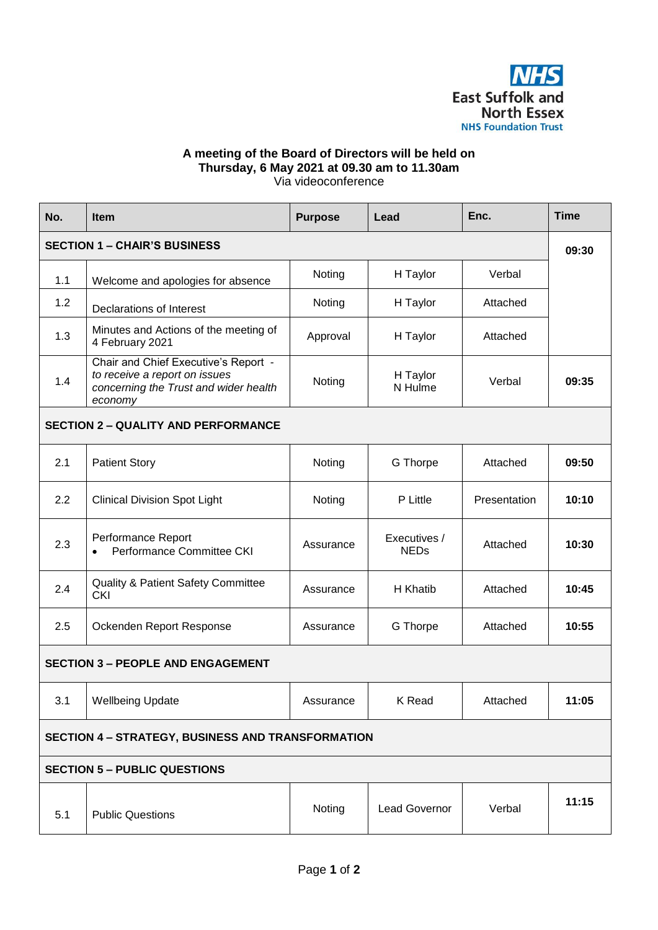

## **A meeting of the Board of Directors will be held on Thursday, 6 May 2021 at 09.30 am to 11.30am**  Via videoconference

| No.                                                      | <b>Item</b>                                                                                                               | <b>Purpose</b> | Lead                        | Enc.         | <b>Time</b> |  |  |  |
|----------------------------------------------------------|---------------------------------------------------------------------------------------------------------------------------|----------------|-----------------------------|--------------|-------------|--|--|--|
| <b>SECTION 1 - CHAIR'S BUSINESS</b>                      |                                                                                                                           |                |                             |              |             |  |  |  |
| 1.1                                                      | Welcome and apologies for absence                                                                                         | Noting         | H Taylor                    | Verbal       |             |  |  |  |
| 1.2                                                      | <b>Declarations of Interest</b>                                                                                           | Noting         | H Taylor                    | Attached     |             |  |  |  |
| 1.3                                                      | Minutes and Actions of the meeting of<br>4 February 2021                                                                  | Approval       | H Taylor                    | Attached     |             |  |  |  |
| 1.4                                                      | Chair and Chief Executive's Report -<br>to receive a report on issues<br>concerning the Trust and wider health<br>economy | Noting         | H Taylor<br>N Hulme         | Verbal       | 09:35       |  |  |  |
| <b>SECTION 2 - QUALITY AND PERFORMANCE</b>               |                                                                                                                           |                |                             |              |             |  |  |  |
| 2.1                                                      | <b>Patient Story</b>                                                                                                      | Noting         | G Thorpe                    | Attached     | 09:50       |  |  |  |
| 2.2                                                      | <b>Clinical Division Spot Light</b>                                                                                       | Noting         | P Little                    | Presentation | 10:10       |  |  |  |
| 2.3                                                      | Performance Report<br>Performance Committee CKI                                                                           | Assurance      | Executives /<br><b>NEDs</b> | Attached     | 10:30       |  |  |  |
| 2.4                                                      | <b>Quality &amp; Patient Safety Committee</b><br><b>CKI</b>                                                               | Assurance      | H Khatib                    | Attached     | 10:45       |  |  |  |
| 2.5                                                      | Ockenden Report Response                                                                                                  | Assurance      | G Thorpe                    | Attached     | 10:55       |  |  |  |
| <b>SECTION 3 - PEOPLE AND ENGAGEMENT</b>                 |                                                                                                                           |                |                             |              |             |  |  |  |
| 3.1                                                      | <b>Wellbeing Update</b>                                                                                                   | Assurance      | K Read                      | Attached     | 11:05       |  |  |  |
| <b>SECTION 4 - STRATEGY, BUSINESS AND TRANSFORMATION</b> |                                                                                                                           |                |                             |              |             |  |  |  |
| <b>SECTION 5 - PUBLIC QUESTIONS</b>                      |                                                                                                                           |                |                             |              |             |  |  |  |
| 5.1                                                      | <b>Public Questions</b>                                                                                                   | Noting         | Lead Governor               | Verbal       | 11:15       |  |  |  |